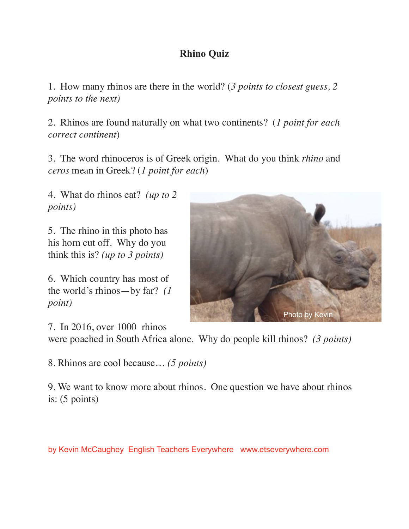## **Rhino Quiz**

1. How many rhinos are there in the world? (*3 points to closest guess, 2 points to the next)*

2. Rhinos are found naturally on what two continents? (*1 point for each correct continent*)

3. The word rhinoceros is of Greek origin. What do you think *rhino* and *ceros* mean in Greek? (*1 point for each*)

4. What do rhinos eat? *(up to 2 points)*

5. The rhino in this photo has his horn cut off. Why do you think this is? *(up to 3 points)*

6. Which country has most of the world's rhinos—by far? *(1 point)*

7. In 2016, over 1000 rhinos

were poached in South Africa alone. Why do people kill rhinos? *(3 points)*

8. Rhinos are cool because… *(5 points)*

9. We want to know more about rhinos. One question we have about rhinos is: (5 points)

by Kevin McCaughey English Teachers Everywhere www.etseverywhere.com